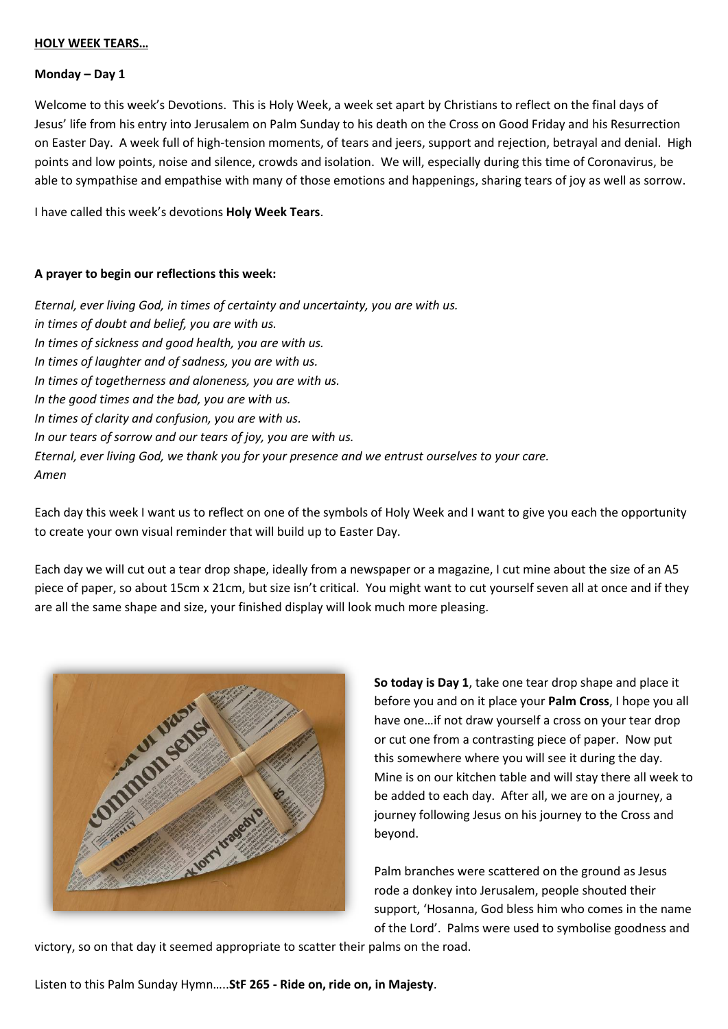#### **Monday – Day 1**

Welcome to this week's Devotions. This is Holy Week, a week set apart by Christians to reflect on the final days of Jesus' life from his entry into Jerusalem on Palm Sunday to his death on the Cross on Good Friday and his Resurrection on Easter Day. A week full of high-tension moments, of tears and jeers, support and rejection, betrayal and denial. High points and low points, noise and silence, crowds and isolation. We will, especially during this time of Coronavirus, be able to sympathise and empathise with many of those emotions and happenings, sharing tears of joy as well as sorrow.

I have called this week's devotions **Holy Week Tears**.

### **A prayer to begin our reflections this week:**

*Eternal, ever living God, in times of certainty and uncertainty, you are with us. in times of doubt and belief, you are with us. In times of sickness and good health, you are with us. In times of laughter and of sadness, you are with us. In times of togetherness and aloneness, you are with us. In the good times and the bad, you are with us. In times of clarity and confusion, you are with us. In our tears of sorrow and our tears of joy, you are with us. Eternal, ever living God, we thank you for your presence and we entrust ourselves to your care. Amen*

Each day this week I want us to reflect on one of the symbols of Holy Week and I want to give you each the opportunity to create your own visual reminder that will build up to Easter Day.

Each day we will cut out a tear drop shape, ideally from a newspaper or a magazine, I cut mine about the size of an A5 piece of paper, so about 15cm x 21cm, but size isn't critical. You might want to cut yourself seven all at once and if they are all the same shape and size, your finished display will look much more pleasing.



**So today is Day 1**, take one tear drop shape and place it before you and on it place your **Palm Cross**, I hope you all have one…if not draw yourself a cross on your tear drop or cut one from a contrasting piece of paper. Now put this somewhere where you will see it during the day. Mine is on our kitchen table and will stay there all week to be added to each day. After all, we are on a journey, a journey following Jesus on his journey to the Cross and beyond.

Palm branches were scattered on the ground as Jesus rode a donkey into Jerusalem, people shouted their support, 'Hosanna, God bless him who comes in the name of the Lord'. Palms were used to symbolise goodness and

victory, so on that day it seemed appropriate to scatter their palms on the road.

Listen to this Palm Sunday Hymn…..**StF 265 - Ride on, ride on, in Majesty**.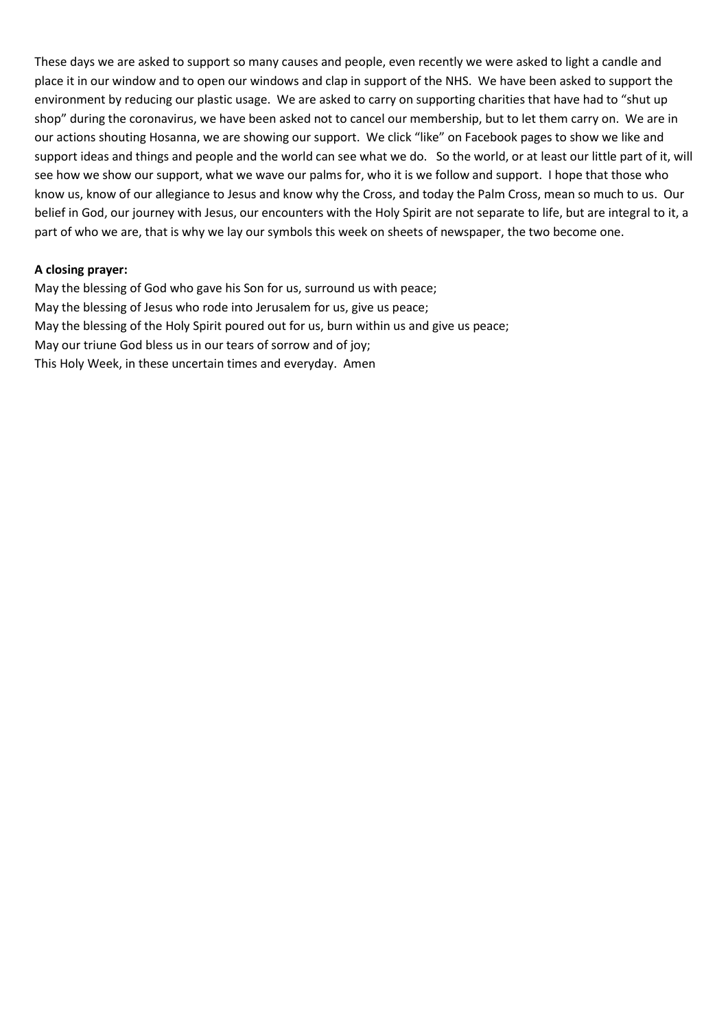These days we are asked to support so many causes and people, even recently we were asked to light a candle and place it in our window and to open our windows and clap in support of the NHS. We have been asked to support the environment by reducing our plastic usage. We are asked to carry on supporting charities that have had to "shut up shop" during the coronavirus, we have been asked not to cancel our membership, but to let them carry on. We are in our actions shouting Hosanna, we are showing our support. We click "like" on Facebook pages to show we like and support ideas and things and people and the world can see what we do. So the world, or at least our little part of it, will see how we show our support, what we wave our palms for, who it is we follow and support. I hope that those who know us, know of our allegiance to Jesus and know why the Cross, and today the Palm Cross, mean so much to us. Our belief in God, our journey with Jesus, our encounters with the Holy Spirit are not separate to life, but are integral to it, a part of who we are, that is why we lay our symbols this week on sheets of newspaper, the two become one.

### **A closing prayer:**

May the blessing of God who gave his Son for us, surround us with peace; May the blessing of Jesus who rode into Jerusalem for us, give us peace; May the blessing of the Holy Spirit poured out for us, burn within us and give us peace; May our triune God bless us in our tears of sorrow and of joy; This Holy Week, in these uncertain times and everyday. Amen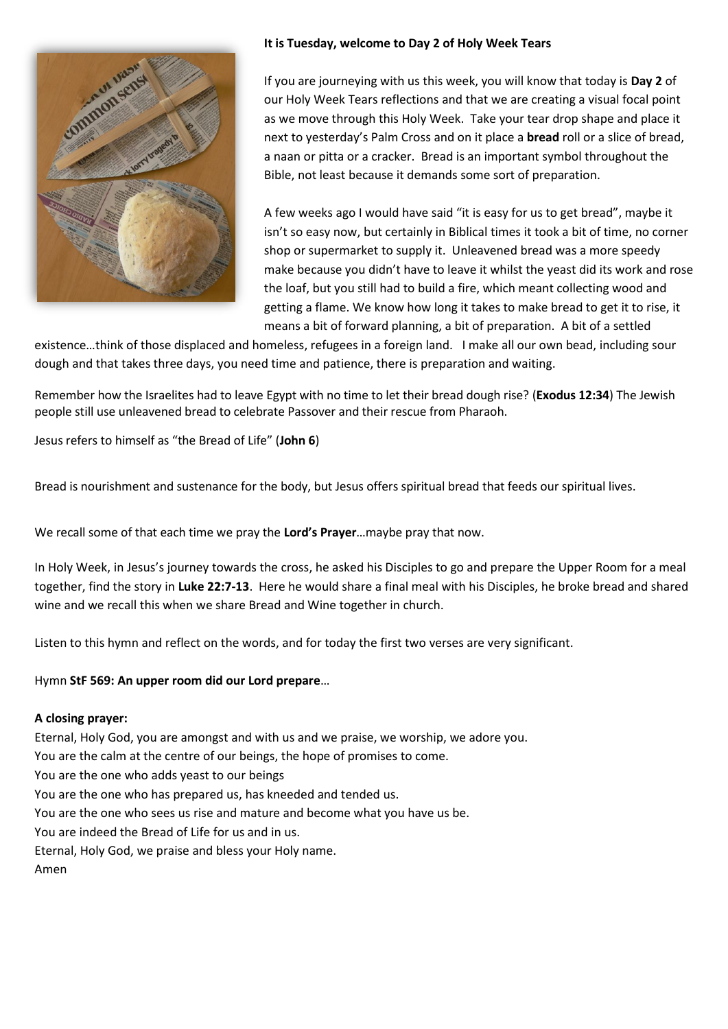

## **It is Tuesday, welcome to Day 2 of Holy Week Tears**

If you are journeying with us this week, you will know that today is **Day 2** of our Holy Week Tears reflections and that we are creating a visual focal point as we move through this Holy Week. Take your tear drop shape and place it next to yesterday's Palm Cross and on it place a **bread** roll or a slice of bread, a naan or pitta or a cracker. Bread is an important symbol throughout the Bible, not least because it demands some sort of preparation.

A few weeks ago I would have said "it is easy for us to get bread", maybe it isn't so easy now, but certainly in Biblical times it took a bit of time, no corner shop or supermarket to supply it. Unleavened bread was a more speedy make because you didn't have to leave it whilst the yeast did its work and rose the loaf, but you still had to build a fire, which meant collecting wood and getting a flame. We know how long it takes to make bread to get it to rise, it means a bit of forward planning, a bit of preparation. A bit of a settled

existence…think of those displaced and homeless, refugees in a foreign land. I make all our own bead, including sour dough and that takes three days, you need time and patience, there is preparation and waiting.

Remember how the Israelites had to leave Egypt with no time to let their bread dough rise? (**Exodus 12:34**) The Jewish people still use unleavened bread to celebrate Passover and their rescue from Pharaoh.

Jesus refers to himself as "the Bread of Life" (**John 6**)

Bread is nourishment and sustenance for the body, but Jesus offers spiritual bread that feeds our spiritual lives.

We recall some of that each time we pray the **Lord's Prayer**…maybe pray that now.

In Holy Week, in Jesus's journey towards the cross, he asked his Disciples to go and prepare the Upper Room for a meal together, find the story in **Luke 22:7-13**. Here he would share a final meal with his Disciples, he broke bread and shared wine and we recall this when we share Bread and Wine together in church.

Listen to this hymn and reflect on the words, and for today the first two verses are very significant.

### Hymn **StF 569: An upper room did our Lord prepare**…

### **A closing prayer:**

Eternal, Holy God, you are amongst and with us and we praise, we worship, we adore you. You are the calm at the centre of our beings, the hope of promises to come. You are the one who adds yeast to our beings You are the one who has prepared us, has kneeded and tended us.

You are the one who sees us rise and mature and become what you have us be.

You are indeed the Bread of Life for us and in us.

Eternal, Holy God, we praise and bless your Holy name.

Amen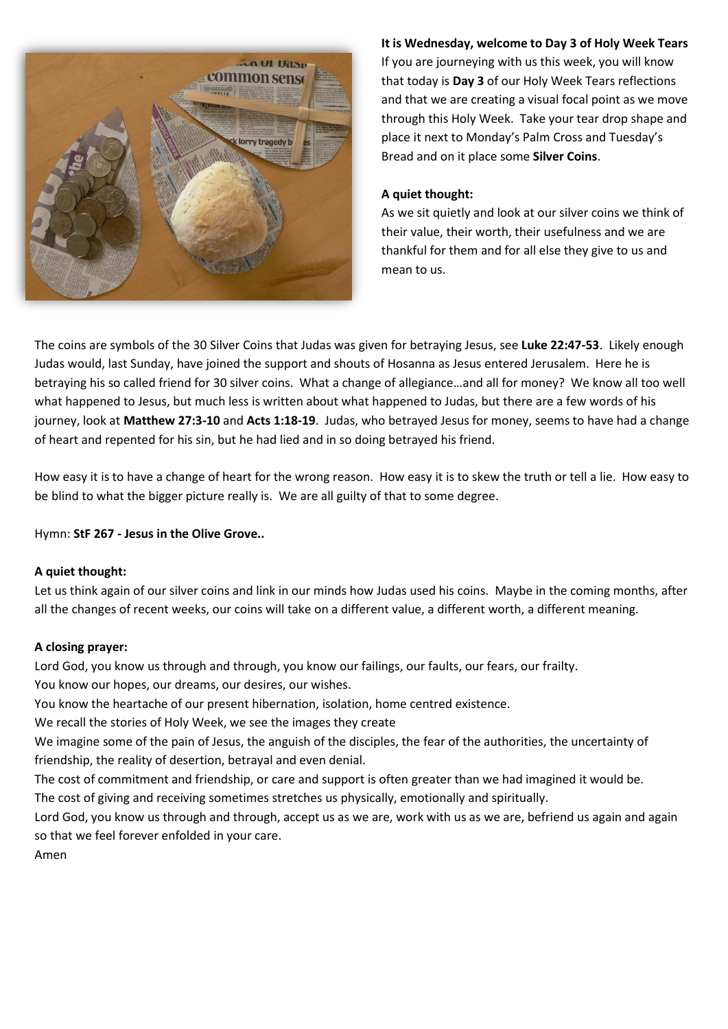

**It is Wednesday, welcome to Day 3 of Holy Week Tears**

If you are journeying with us this week, you will know that today is **Day 3** of our Holy Week Tears reflections and that we are creating a visual focal point as we move through this Holy Week. Take your tear drop shape and place it next to Monday's Palm Cross and Tuesday's Bread and on it place some **Silver Coins**.

### **A quiet thought:**

As we sit quietly and look at our silver coins we think of their value, their worth, their usefulness and we are thankful for them and for all else they give to us and mean to us.

The coins are symbols of the 30 Silver Coins that Judas was given for betraying Jesus, see **Luke 22:47-53**. Likely enough Judas would, last Sunday, have joined the support and shouts of Hosanna as Jesus entered Jerusalem. Here he is betraying his so called friend for 30 silver coins. What a change of allegiance…and all for money? We know all too well what happened to Jesus, but much less is written about what happened to Judas, but there are a few words of his journey, look at **Matthew 27:3-10** and **Acts 1:18-19**. Judas, who betrayed Jesus for money, seems to have had a change of heart and repented for his sin, but he had lied and in so doing betrayed his friend.

How easy it is to have a change of heart for the wrong reason. How easy it is to skew the truth or tell a lie. How easy to be blind to what the bigger picture really is. We are all guilty of that to some degree.

Hymn: **StF 267 - Jesus in the Olive Grove..**

## **A quiet thought:**

Let us think again of our silver coins and link in our minds how Judas used his coins. Maybe in the coming months, after all the changes of recent weeks, our coins will take on a different value, a different worth, a different meaning.

## **A closing prayer:**

Lord God, you know us through and through, you know our failings, our faults, our fears, our frailty. You know our hopes, our dreams, our desires, our wishes.

You know the heartache of our present hibernation, isolation, home centred existence.

We recall the stories of Holy Week, we see the images they create

We imagine some of the pain of Jesus, the anguish of the disciples, the fear of the authorities, the uncertainty of friendship, the reality of desertion, betrayal and even denial.

The cost of commitment and friendship, or care and support is often greater than we had imagined it would be.

The cost of giving and receiving sometimes stretches us physically, emotionally and spiritually.

Lord God, you know us through and through, accept us as we are, work with us as we are, befriend us again and again so that we feel forever enfolded in your care.

Amen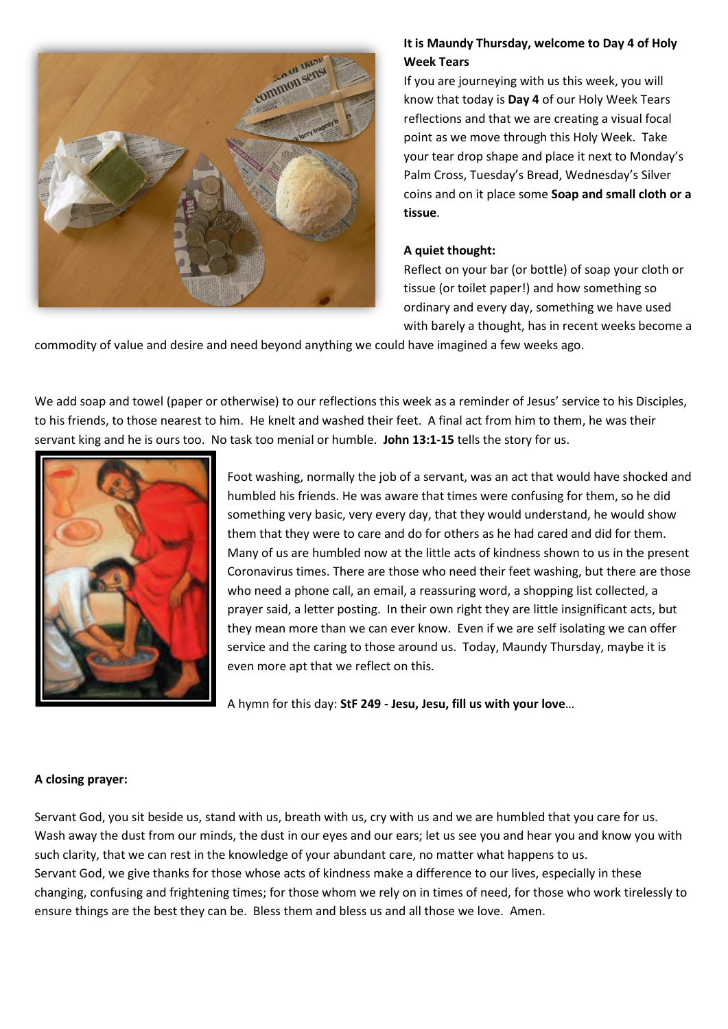

# **It is Maundy Thursday, welcome to Day 4 of Holy Week Tears**

If you are journeying with us this week, you will know that today is **Day 4** of our Holy Week Tears reflections and that we are creating a visual focal point as we move through this Holy Week. Take your tear drop shape and place it next to Monday's Palm Cross, Tuesday's Bread, Wednesday's Silver coins and on it place some **Soap and small cloth or a tissue**.

## **A quiet thought:**

Reflect on your bar (or bottle) of soap your cloth or tissue (or toilet paper!) and how something so ordinary and every day, something we have used with barely a thought, has in recent weeks become a

commodity of value and desire and need beyond anything we could have imagined a few weeks ago.

We add soap and towel (paper or otherwise) to our reflections this week as a reminder of Jesus' service to his Disciples, to his friends, to those nearest to him. He knelt and washed their feet. A final act from him to them, he was their servant king and he is ours too. No task too menial or humble. **John 13:1-15** tells the story for us.



Foot washing, normally the job of a servant, was an act that would have shocked and humbled his friends. He was aware that times were confusing for them, so he did something very basic, very every day, that they would understand, he would show them that they were to care and do for others as he had cared and did for them. Many of us are humbled now at the little acts of kindness shown to us in the present Coronavirus times. There are those who need their feet washing, but there are those who need a phone call, an email, a reassuring word, a shopping list collected, a prayer said, a letter posting. In their own right they are little insignificant acts, but they mean more than we can ever know. Even if we are self isolating we can offer service and the caring to those around us. Today, Maundy Thursday, maybe it is even more apt that we reflect on this.

A hymn for this day: **StF 249 - Jesu, Jesu, fill us with your love**…

## **A closing prayer:**

Servant God, you sit beside us, stand with us, breath with us, cry with us and we are humbled that you care for us. Wash away the dust from our minds, the dust in our eyes and our ears; let us see you and hear you and know you with such clarity, that we can rest in the knowledge of your abundant care, no matter what happens to us. Servant God, we give thanks for those whose acts of kindness make a difference to our lives, especially in these changing, confusing and frightening times; for those whom we rely on in times of need, for those who work tirelessly to ensure things are the best they can be. Bless them and bless us and all those we love. Amen.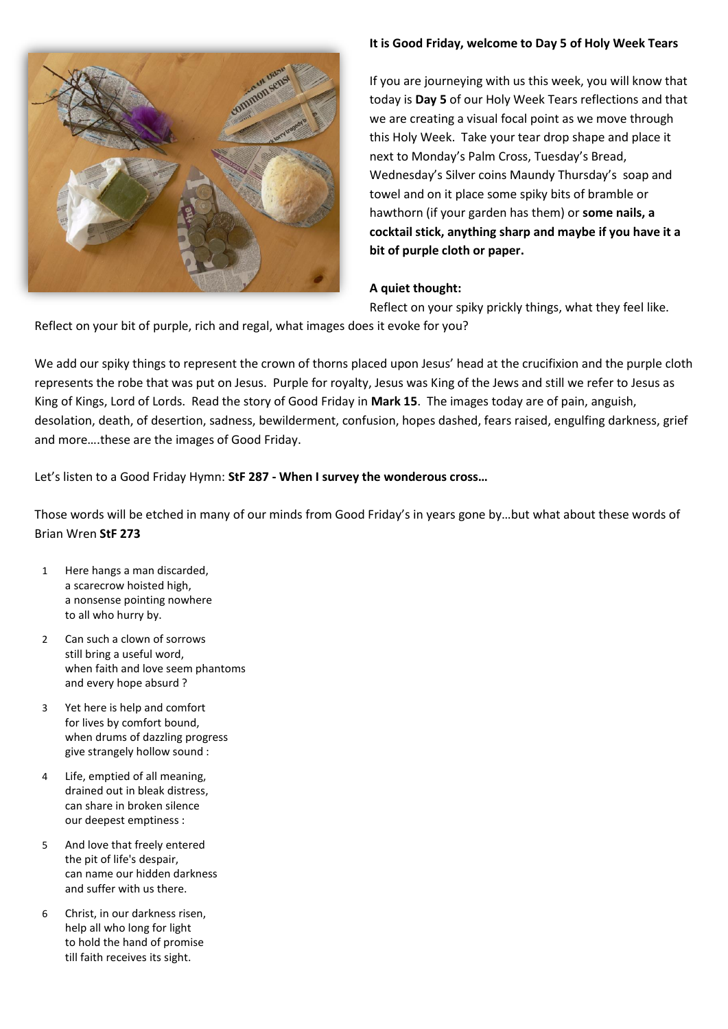### **It is Good Friday, welcome to Day 5 of Holy Week Tears**



If you are journeying with us this week, you will know that today is **Day 5** of our Holy Week Tears reflections and that we are creating a visual focal point as we move through this Holy Week. Take your tear drop shape and place it next to Monday's Palm Cross, Tuesday's Bread, Wednesday's Silver coins Maundy Thursday's soap and towel and on it place some spiky bits of bramble or hawthorn (if your garden has them) or **some nails, a cocktail stick, anything sharp and maybe if you have it a bit of purple cloth or paper.** 

### **A quiet thought:**

Reflect on your spiky prickly things, what they feel like.

Reflect on your bit of purple, rich and regal, what images does it evoke for you?

We add our spiky things to represent the crown of thorns placed upon Jesus' head at the crucifixion and the purple cloth represents the robe that was put on Jesus. Purple for royalty, Jesus was King of the Jews and still we refer to Jesus as King of Kings, Lord of Lords. Read the story of Good Friday in **Mark 15**. The images today are of pain, anguish, desolation, death, of desertion, sadness, bewilderment, confusion, hopes dashed, fears raised, engulfing darkness, grief and more….these are the images of Good Friday.

Let's listen to a Good Friday Hymn: **StF 287 - When I survey the wonderous cross…**

Those words will be etched in many of our minds from Good Friday's in years gone by…but what about these words of Brian Wren **StF 273**

- 1 Here hangs a man discarded, a scarecrow hoisted high, a nonsense pointing nowhere to all who hurry by.
- 2 Can such a clown of sorrows still bring a useful word, when faith and love seem phantoms and every hope absurd ?
- 3 Yet here is help and comfort for lives by comfort bound, when drums of dazzling progress give strangely hollow sound :
- 4 Life, emptied of all meaning, drained out in bleak distress, can share in broken silence our deepest emptiness :
- 5 And love that freely entered the pit of life's despair, can name our hidden darkness and suffer with us there.
- 6 Christ, in our darkness risen, help all who long for light to hold the hand of promise till faith receives its sight.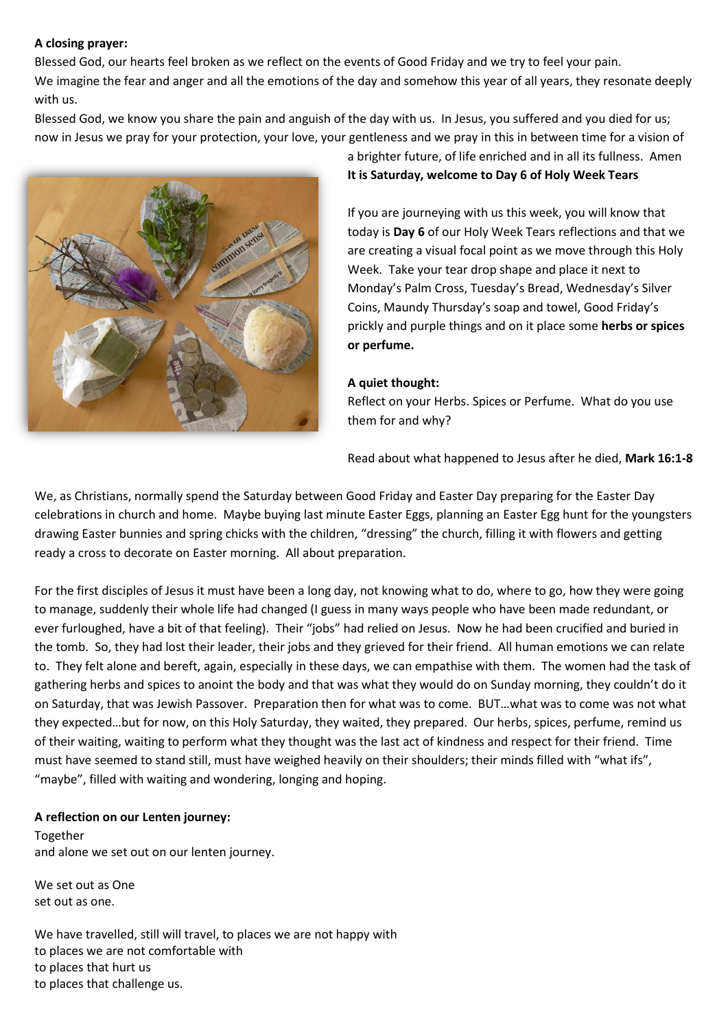### **A closing prayer:**

Blessed God, our hearts feel broken as we reflect on the events of Good Friday and we try to feel your pain. We imagine the fear and anger and all the emotions of the day and somehow this year of all years, they resonate deeply with us.

Blessed God, we know you share the pain and anguish of the day with us. In Jesus, you suffered and you died for us; now in Jesus we pray for your protection, your love, your gentleness and we pray in this in between time for a vision of



a brighter future, of life enriched and in all its fullness. Amen **It is Saturday, welcome to Day 6 of Holy Week Tears**

If you are journeying with us this week, you will know that today is **Day 6** of our Holy Week Tears reflections and that we are creating a visual focal point as we move through this Holy Week. Take your tear drop shape and place it next to Monday's Palm Cross, Tuesday's Bread, Wednesday's Silver Coins, Maundy Thursday's soap and towel, Good Friday's prickly and purple things and on it place some **herbs or spices or perfume.**

#### **A quiet thought:**

Reflect on your Herbs. Spices or Perfume. What do you use them for and why?

Read about what happened to Jesus after he died, **Mark 16:1-8**

We, as Christians, normally spend the Saturday between Good Friday and Easter Day preparing for the Easter Day celebrations in church and home. Maybe buying last minute Easter Eggs, planning an Easter Egg hunt for the youngsters drawing Easter bunnies and spring chicks with the children, "dressing" the church, filling it with flowers and getting ready a cross to decorate on Easter morning. All about preparation.

For the first disciples of Jesus it must have been a long day, not knowing what to do, where to go, how they were going to manage, suddenly their whole life had changed (I guess in many ways people who have been made redundant, or ever furloughed, have a bit of that feeling). Their "jobs" had relied on Jesus. Now he had been crucified and buried in the tomb. So, they had lost their leader, their jobs and they grieved for their friend. All human emotions we can relate to. They felt alone and bereft, again, especially in these days, we can empathise with them. The women had the task of gathering herbs and spices to anoint the body and that was what they would do on Sunday morning, they couldn't do it on Saturday, that was Jewish Passover. Preparation then for what was to come. BUT…what was to come was not what they expected…but for now, on this Holy Saturday, they waited, they prepared. Our herbs, spices, perfume, remind us of their waiting, waiting to perform what they thought was the last act of kindness and respect for their friend. Time must have seemed to stand still, must have weighed heavily on their shoulders; their minds filled with "what ifs", "maybe", filled with waiting and wondering, longing and hoping.

### **A reflection on our Lenten journey:**

Together and alone we set out on our lenten journey.

We set out as One set out as one.

We have travelled, still will travel, to places we are not happy with to places we are not comfortable with to places that hurt us to places that challenge us.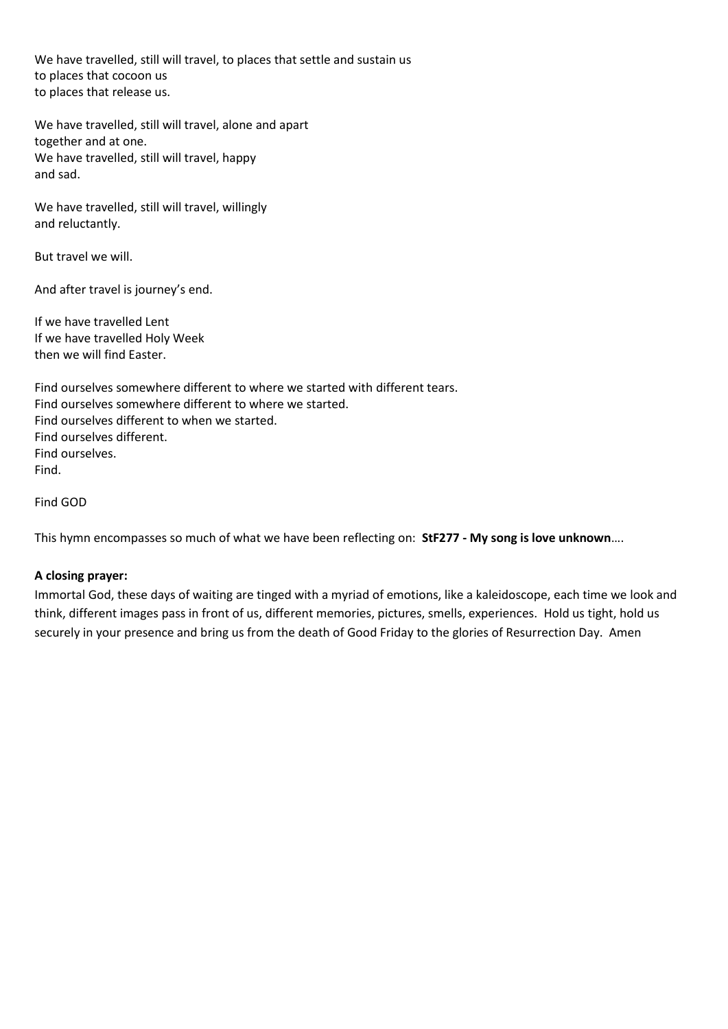We have travelled, still will travel, to places that settle and sustain us to places that cocoon us to places that release us.

We have travelled, still will travel, alone and apart together and at one. We have travelled, still will travel, happy and sad.

We have travelled, still will travel, willingly and reluctantly.

But travel we will.

And after travel is journey's end.

If we have travelled Lent If we have travelled Holy Week then we will find Easter.

Find ourselves somewhere different to where we started with different tears. Find ourselves somewhere different to where we started. Find ourselves different to when we started. Find ourselves different. Find ourselves. Find.

Find GOD

This hymn encompasses so much of what we have been reflecting on: **StF277 - My song is love unknown**….

## **A closing prayer:**

Immortal God, these days of waiting are tinged with a myriad of emotions, like a kaleidoscope, each time we look and think, different images pass in front of us, different memories, pictures, smells, experiences. Hold us tight, hold us securely in your presence and bring us from the death of Good Friday to the glories of Resurrection Day. Amen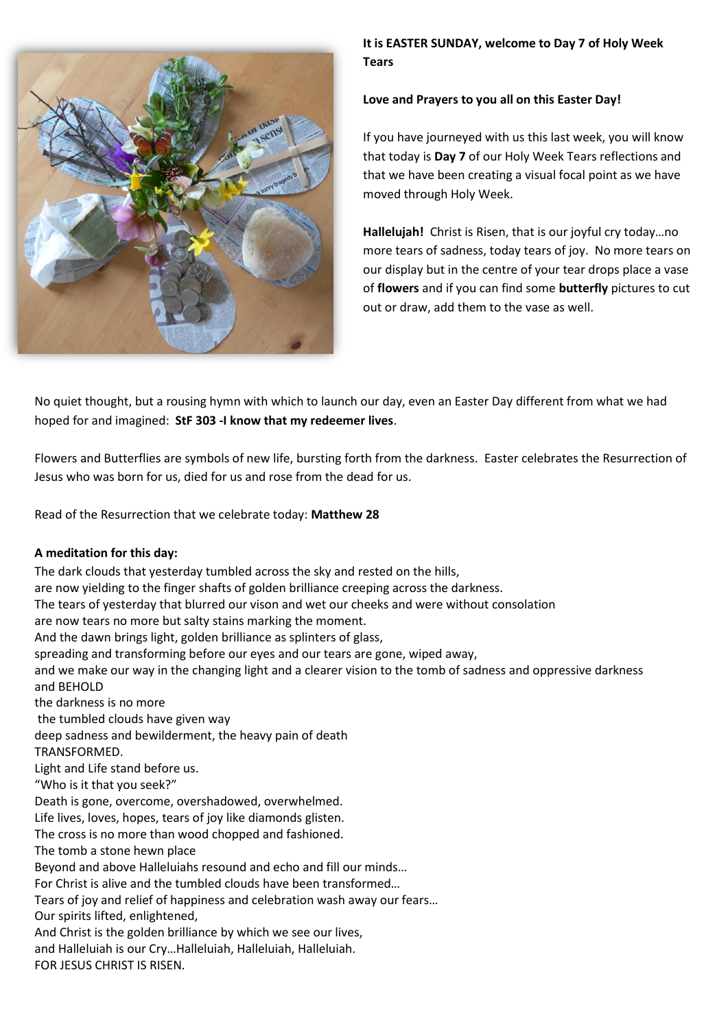

**It is EASTER SUNDAY, welcome to Day 7 of Holy Week Tears**

#### **Love and Prayers to you all on this Easter Day!**

If you have journeyed with us this last week, you will know that today is **Day 7** of our Holy Week Tears reflections and that we have been creating a visual focal point as we have moved through Holy Week.

**Hallelujah!** Christ is Risen, that is our joyful cry today…no more tears of sadness, today tears of joy. No more tears on our display but in the centre of your tear drops place a vase of **flowers** and if you can find some **butterfly** pictures to cut out or draw, add them to the vase as well.

No quiet thought, but a rousing hymn with which to launch our day, even an Easter Day different from what we had hoped for and imagined: **StF 303 -I know that my redeemer lives**.

Flowers and Butterflies are symbols of new life, bursting forth from the darkness. Easter celebrates the Resurrection of Jesus who was born for us, died for us and rose from the dead for us.

Read of the Resurrection that we celebrate today: **Matthew 28**

### **A meditation for this day:**

The dark clouds that yesterday tumbled across the sky and rested on the hills, are now yielding to the finger shafts of golden brilliance creeping across the darkness. The tears of yesterday that blurred our vison and wet our cheeks and were without consolation are now tears no more but salty stains marking the moment. And the dawn brings light, golden brilliance as splinters of glass, spreading and transforming before our eyes and our tears are gone, wiped away, and we make our way in the changing light and a clearer vision to the tomb of sadness and oppressive darkness and BEHOLD the darkness is no more the tumbled clouds have given way deep sadness and bewilderment, the heavy pain of death TRANSFORMED. Light and Life stand before us. "Who is it that you seek?" Death is gone, overcome, overshadowed, overwhelmed. Life lives, loves, hopes, tears of joy like diamonds glisten. The cross is no more than wood chopped and fashioned. The tomb a stone hewn place Beyond and above Halleluiahs resound and echo and fill our minds… For Christ is alive and the tumbled clouds have been transformed… Tears of joy and relief of happiness and celebration wash away our fears… Our spirits lifted, enlightened, And Christ is the golden brilliance by which we see our lives, and Halleluiah is our Cry…Halleluiah, Halleluiah, Halleluiah. FOR JESUS CHRIST IS RISEN.